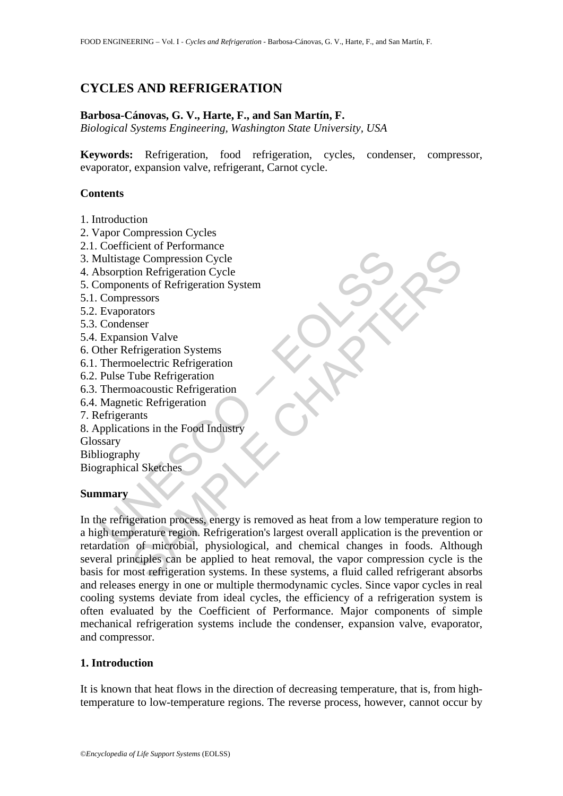# **CYCLES AND REFRIGERATION**

### **Barbosa-Cánovas, G. V., Harte, F., and San Martín, F.**

*Biological Systems Engineering, Washington State University, USA* 

**Keywords:** Refrigeration, food refrigeration, cycles, condenser, compressor, evaporator, expansion valve, refrigerant, Carnot cycle.

### **Contents**

- 1. Introduction
- 2. Vapor Compression Cycles
- 2.1. Coefficient of Performance
- 3. Multistage Compression Cycle
- 4. Absorption Refrigeration Cycle
- 5. Components of Refrigeration System
- 5.1. Compressors
- 5.2. Evaporators
- 5.3. Condenser
- 5.4. Expansion Valve
- 6. Other Refrigeration Systems
- 6.1. Thermoelectric Refrigeration
- 6.2. Pulse Tube Refrigeration
- 6.3. Thermoacoustic Refrigeration
- 6.4. Magnetic Refrigeration
- 7. Refrigerants
- 8. Applications in the Food Industry

Glossary

Bibliography

Biographical Sketches

#### **Summary**

Continues of the Controlling Compression Cycle<br>
Inditistage Compression Cycle<br>
Internation Cycle<br>
Internation System<br>
Compressors<br>
Evaporators<br>
Evaporators<br>
Expansion Valve<br>
Thermoedcustic Refrigeration<br>
Pluse Tube Refrige Expective of reformal<br>that of references of Refrigeration Cycle<br>ents of Refrigeration System<br>rators<br>rators<br>rators<br>first critical Refrigeration<br>occustic Refrigeration<br>accoustic Refrigeration<br>ans in the Food Industry<br>ans<br>int In the refrigeration process, energy is removed as heat from a low temperature region to a high temperature region. Refrigeration's largest overall application is the prevention or retardation of microbial, physiological, and chemical changes in foods. Although several principles can be applied to heat removal, the vapor compression cycle is the basis for most refrigeration systems. In these systems, a fluid called refrigerant absorbs and releases energy in one or multiple thermodynamic cycles. Since vapor cycles in real cooling systems deviate from ideal cycles, the efficiency of a refrigeration system is often evaluated by the Coefficient of Performance. Major components of simple mechanical refrigeration systems include the condenser, expansion valve, evaporator, and compressor.

## **1. Introduction**

It is known that heat flows in the direction of decreasing temperature, that is, from hightemperature to low-temperature regions. The reverse process, however, cannot occur by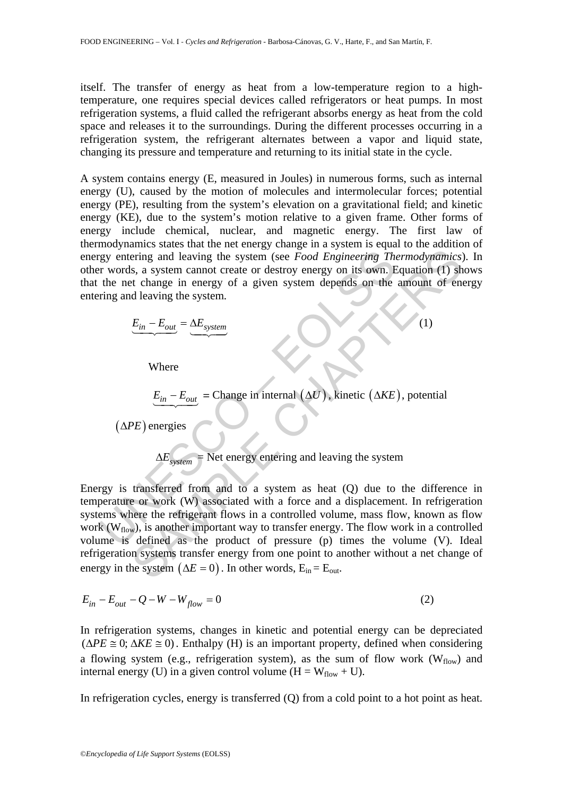itself. The transfer of energy as heat from a low-temperature region to a hightemperature, one requires special devices called refrigerators or heat pumps. In most refrigeration systems, a fluid called the refrigerant absorbs energy as heat from the cold space and releases it to the surroundings. During the different processes occurring in a refrigeration system, the refrigerant alternates between a vapor and liquid state, changing its pressure and temperature and returning to its initial state in the cycle.

A system contains energy (E, measured in Joules) in numerous forms, such as internal energy (U), caused by the motion of molecules and intermolecular forces; potential energy (PE), resulting from the system's elevation on a gravitational field; and kinetic energy (KE), due to the system's motion relative to a given frame. Other forms of energy include chemical, nuclear, and magnetic energy. The first law of thermodynamics states that the net energy change in a system is equal to the addition of energy entering and leaving the system (see *Food Engineering Thermodynamics*). In other words, a system cannot create or destroy energy on its own. Equation (1) shows that the net change in energy of a given system depends on the amount of energy entering and leaving the system.

$$
\underbrace{E_{in} - E_{out}}_{\text{out}} = \underbrace{\Delta E_{system}}_{\text{system}}
$$

Where

$$
E_{in} - E_{out} = \text{Change in internal } (\Delta U), \text{ kinetic } (\Delta KE), \text{ potential}
$$

 $(1)$ 

 $(\Delta PE)$  energies

$$
\Delta E_{system}
$$
 = Net energy entering and leaving the system

The mean starting and leaving the system (see Food Engineering The<br>
r words, a system cannot create or destroy energy on its own. E<br>
the net change in energy of a given system depends on the<br>
ring and leaving the system.<br> ering and leaving the system (see Food Engineering Thermodynamics)<br>
s., a system cannot create or destroy energy on its own. Equation (1) sh<br>
st change in energy of a given system depends on the amount of end<br>
leaving the Energy is transferred from and to a system as heat (Q) due to the difference in temperature or work (W) associated with a force and a displacement. In refrigeration systems where the refrigerant flows in a controlled volume, mass flow, known as flow work ( $W_{flow}$ ), is another important way to transfer energy. The flow work in a controlled volume is defined as the product of pressure (p) times the volume (V). Ideal refrigeration systems transfer energy from one point to another without a net change of energy in the system  $(\Delta E = 0)$ . In other words,  $E_{in} = E_{out}$ .

$$
E_{in} - E_{out} - Q - W - W_{flow} = 0
$$
 (2)

In refrigeration systems, changes in kinetic and potential energy can be depreciated  $(\Delta PE \cong 0; \Delta KE \cong 0)$ . Enthalpy (H) is an important property, defined when considering a flowing system (e.g., refrigeration system), as the sum of flow work ( $W_{flow}$ ) and internal energy (U) in a given control volume ( $H = W_{flow} + U$ ).

In refrigeration cycles, energy is transferred (Q) from a cold point to a hot point as heat.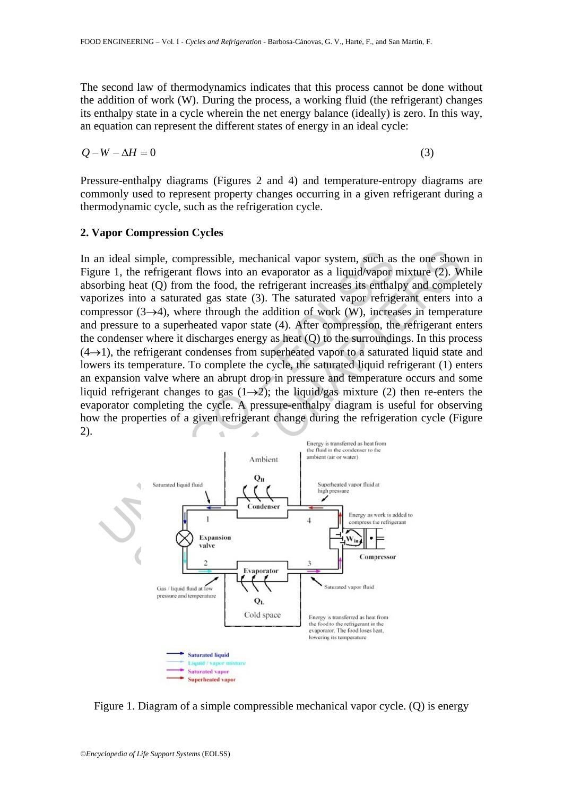The second law of thermodynamics indicates that this process cannot be done without the addition of work (W). During the process, a working fluid (the refrigerant) changes its enthalpy state in a cycle wherein the net energy balance (ideally) is zero. In this way, an equation can represent the different states of energy in an ideal cycle:

$$
Q - W - \Delta H = 0 \tag{3}
$$

Pressure-enthalpy diagrams (Figures 2 and 4) and temperature-entropy diagrams are commonly used to represent property changes occurring in a given refrigerant during a thermodynamic cycle, such as the refrigeration cycle.

#### **2. Vapor Compression Cycles**

n ideal simple, compressible, mechanical vapor system, such as<br>
ure 1, the refrigerant flows into an evaporator as a liquid/vapor<br>
primes into a saturated gas state (3). The saturated vapor refrigerant<br>
pressure to a supe simple, compressible, mechanical vapor system, such as the one show<br>the refrigerant flows into an evaporator as a liquid/vapor mixture (2). We<br>heat (0) from the food, the refrigerant increases its emhalpy and complete<br>int In an ideal simple, compressible, mechanical vapor system, such as the one shown in Figure 1, the refrigerant flows into an evaporator as a liquid/vapor mixture (2). While absorbing heat (Q) from the food, the refrigerant increases its enthalpy and completely vaporizes into a saturated gas state (3). The saturated vapor refrigerant enters into a compressor  $(3\rightarrow4)$ , where through the addition of work (W), increases in temperature and pressure to a superheated vapor state (4). After compression, the refrigerant enters the condenser where it discharges energy as heat (Q) to the surroundings. In this process  $(4\rightarrow 1)$ , the refrigerant condenses from superheated vapor to a saturated liquid state and lowers its temperature. To complete the cycle, the saturated liquid refrigerant (1) enters an expansion valve where an abrupt drop in pressure and temperature occurs and some liquid refrigerant changes to gas  $(1\rightarrow 2)$ ; the liquid/gas mixture (2) then re-enters the evaporator completing the cycle. A pressure-enthalpy diagram is useful for observing how the properties of a given refrigerant change during the refrigeration cycle (Figure 2).



Figure 1. Diagram of a simple compressible mechanical vapor cycle. (Q) is energy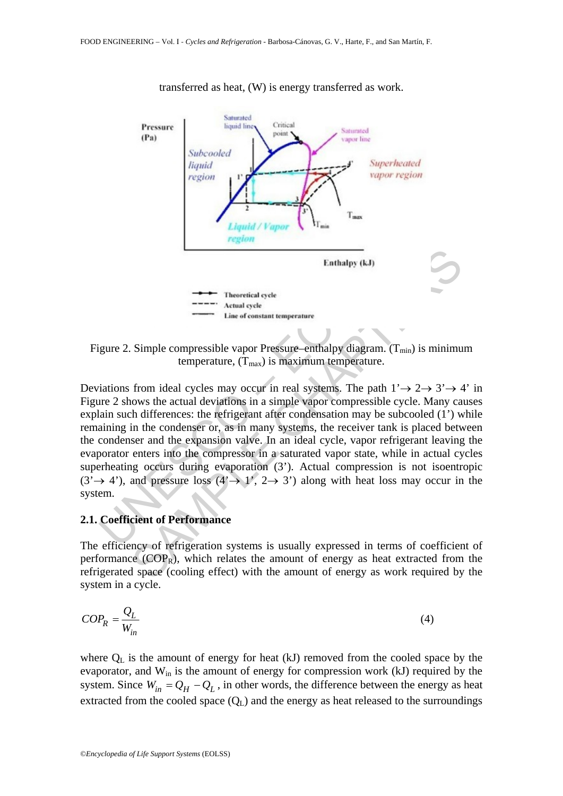

transferred as heat, (W) is energy transferred as work.

Figure 2. Simple compressible vapor Pressure–enthalpy diagram.  $(T_{min})$  is minimum temperature,  $(T_{\text{max}})$  is maximum temperature.

Enthalpy (kJ)<br>
Enthalpy (kJ)<br>
Theoretical cycle<br>
Line of constant temperature<br>
Line of constant temperature<br>
Line of constant temperature<br>
Line of constant temperature<br>
Line of constant temperature<br>
Line of constant tempe Enthalpy (kJ)<br> **Enthalpy** (kJ)<br> **Enthalpy** (kJ)<br> **Enthalpy** (kJ)<br>
Line of constant temperature<br>
Line of constant temperature<br>
Line of constant temperature<br>
Simple compressible vapor Pressure—enthalpy diagram. (T<sub>min</sub>) is Deviations from ideal cycles may occur in real systems. The path  $1 \rightarrow 2 \rightarrow 3 \rightarrow 4$  in Figure 2 shows the actual deviations in a simple vapor compressible cycle. Many causes explain such differences: the refrigerant after condensation may be subcooled (1') while remaining in the condenser or, as in many systems, the receiver tank is placed between the condenser and the expansion valve. In an ideal cycle, vapor refrigerant leaving the evaporator enters into the compressor in a saturated vapor state, while in actual cycles superheating occurs during evaporation (3'). Actual compression is not isoentropic  $(3 \rightarrow 4)$ , and pressure loss  $(4 \rightarrow 1', 2 \rightarrow 3')$  along with heat loss may occur in the system.

#### **2.1. Coefficient of Performance**

The efficiency of refrigeration systems is usually expressed in terms of coefficient of performance  $(COP_R)$ , which relates the amount of energy as heat extracted from the refrigerated space (cooling effect) with the amount of energy as work required by the system in a cycle.

$$
COP_R = \frac{Q_L}{W_{in}}\tag{4}
$$

where  $Q_L$  is the amount of energy for heat (kJ) removed from the cooled space by the evaporator, and Win is the amount of energy for compression work (kJ) required by the system. Since  $W_{in} = Q_H - Q_L$ , in other words, the difference between the energy as heat extracted from the cooled space  $(Q_L)$  and the energy as heat released to the surroundings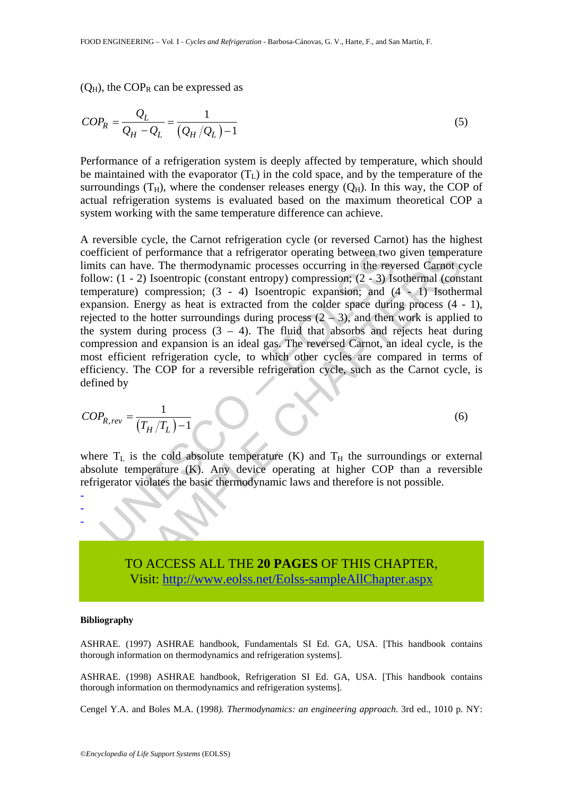$(Q_H)$ , the COP<sub>R</sub> can be expressed as

$$
COP_R = \frac{Q_L}{Q_H - Q_L} = \frac{1}{(Q_H/Q_L) - 1}
$$
\n(5)

Performance of a refrigeration system is deeply affected by temperature, which should be maintained with the evaporator  $(T<sub>L</sub>)$  in the cold space, and by the temperature of the surroundings  $(T_H)$ , where the condenser releases energy  $(Q_H)$ . In this way, the COP of actual refrigeration systems is evaluated based on the maximum theoretical COP a system working with the same temperature difference can achieve.

fricient of performance that a refrigerator operating between two<br>so: can have. The thermodynamic processes occurring in the revous (1 - 2) Isoentropic (constant entropy) compression; (2 - 3) Isoentropic expansion; and (e of performance that a refrigerator operating between two given tempera<br>
have. The thermodynamic processes occurring in the reversed Carnot<br>
2. 2) Isoentropic (constant entropy) compression; (2 - 3) Isothermal (cons<br>
e) co A reversible cycle, the Carnot refrigeration cycle (or reversed Carnot) has the highest coefficient of performance that a refrigerator operating between two given temperature limits can have. The thermodynamic processes occurring in the reversed Carnot cycle follow: (1 - 2) Isoentropic (constant entropy) compression; (2 - 3) Isothermal (constant temperature) compression;  $(3 - 4)$  Isoentropic expansion; and  $(4 - 1)$  Isothermal expansion. Energy as heat is extracted from the colder space during process (4 - 1), rejected to the hotter surroundings during process  $(2 - 3)$ , and then work is applied to the system during process  $(3 - 4)$ . The fluid that absorbs and rejects heat during compression and expansion is an ideal gas. The reversed Carnot, an ideal cycle, is the most efficient refrigeration cycle, to which other cycles are compared in terms of efficiency. The COP for a reversible refrigeration cycle, such as the Carnot cycle, is defined by

$$
COP_{R,rev} = \frac{1}{(T_H/T_L) - 1}
$$
 (6)

where  $T_L$  is the cold absolute temperature (K) and  $T_H$  the surroundings or external absolute temperature (K). Any device operating at higher COP than a reversible refrigerator violates the basic thermodynamic laws and therefore is not possible.

TO ACCESS ALL THE **20 PAGES** OF THIS CHAPTER, Visit: http://www.eolss.net/Eolss-sampleAllChapter.aspx

#### **Bibliography**

- - -

ASHRAE. (1997) ASHRAE handbook, Fundamentals SI Ed. GA, USA. [This handbook contains thorough information on thermodynamics and refrigeration systems].

ASHRAE. (1998) ASHRAE handbook, Refrigeration SI Ed. GA, USA. [This handbook contains thorough information on thermodynamics and refrigeration systems].

Cengel Y.A. and Boles M.A. (1998*). Thermodynamics: an engineering approach*. 3rd ed., 1010 p. NY: